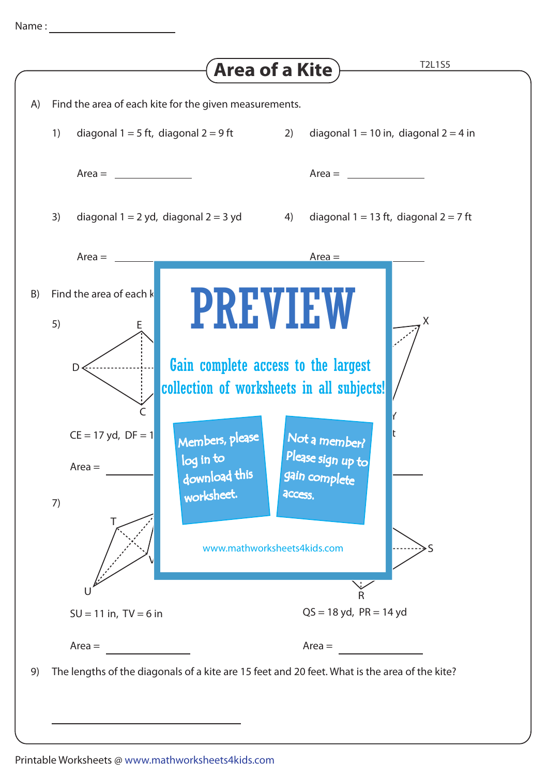